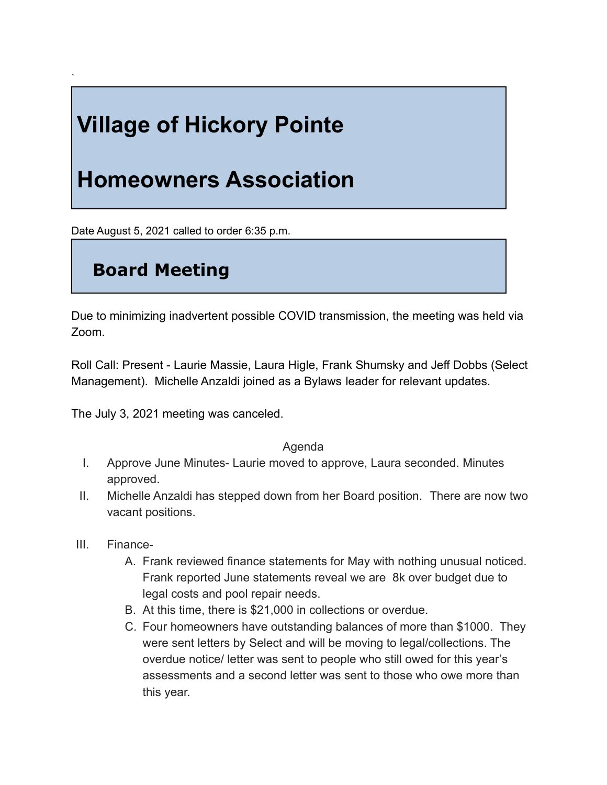# **Village of Hickory Pointe**

## **Homeowners Association**

Date August 5, 2021 called to order 6:35 p.m.

### **Board Meeting**

`

Due to minimizing inadvertent possible COVID transmission, the meeting was held via Zoom.

Roll Call: Present - Laurie Massie, Laura Higle, Frank Shumsky and Jeff Dobbs (Select Management). Michelle Anzaldi joined as a Bylaws leader for relevant updates.

The July 3, 2021 meeting was canceled.

### Agenda

- I. Approve June Minutes- Laurie moved to approve, Laura seconded. Minutes approved.
- II. Michelle Anzaldi has stepped down from her Board position. There are now two vacant positions.
- III. Finance-
	- A. Frank reviewed finance statements for May with nothing unusual noticed. Frank reported June statements reveal we are 8k over budget due to legal costs and pool repair needs.
	- B. At this time, there is \$21,000 in collections or overdue.
	- C. Four homeowners have outstanding balances of more than \$1000. They were sent letters by Select and will be moving to legal/collections. The overdue notice/ letter was sent to people who still owed for this year's assessments and a second letter was sent to those who owe more than this year.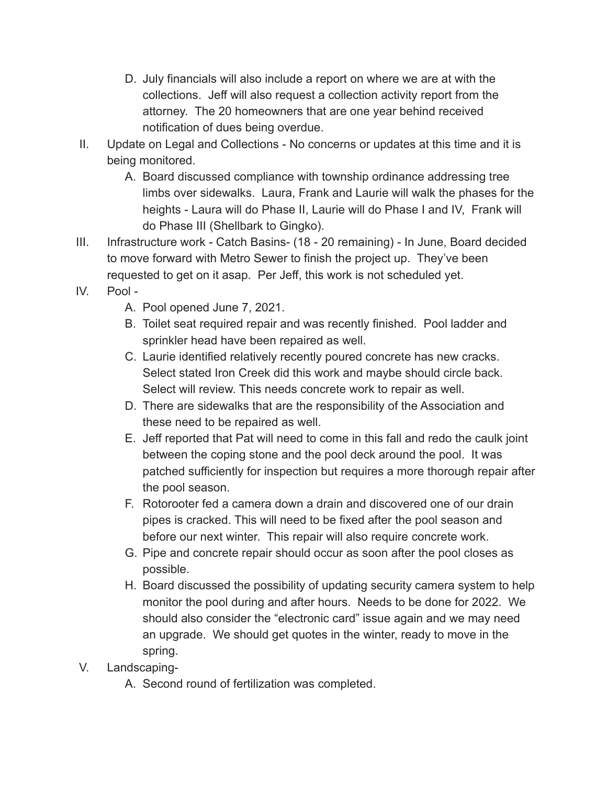- D. July financials will also include a report on where we are at with the collections. Jeff will also request a collection activity report from the attorney. The 20 homeowners that are one year behind received notification of dues being overdue.
- II. Update on Legal and Collections No concerns or updates at this time and it is being monitored.
	- A. Board discussed compliance with township ordinance addressing tree limbs over sidewalks. Laura, Frank and Laurie will walk the phases for the heights - Laura will do Phase II, Laurie will do Phase I and IV, Frank will do Phase III (Shellbark to Gingko).
- III. Infrastructure work Catch Basins- (18 20 remaining) In June, Board decided to move forward with Metro Sewer to finish the project up. They've been requested to get on it asap. Per Jeff, this work is not scheduled yet.
- IV. Pool
	- A. Pool opened June 7, 2021.
	- B. Toilet seat required repair and was recently finished. Pool ladder and sprinkler head have been repaired as well.
	- C. Laurie identified relatively recently poured concrete has new cracks. Select stated Iron Creek did this work and maybe should circle back. Select will review. This needs concrete work to repair as well.
	- D. There are sidewalks that are the responsibility of the Association and these need to be repaired as well.
	- E. Jeff reported that Pat will need to come in this fall and redo the caulk joint between the coping stone and the pool deck around the pool. It was patched sufficiently for inspection but requires a more thorough repair after the pool season.
	- F. Rotorooter fed a camera down a drain and discovered one of our drain pipes is cracked. This will need to be fixed after the pool season and before our next winter. This repair will also require concrete work.
	- G. Pipe and concrete repair should occur as soon after the pool closes as possible.
	- H. Board discussed the possibility of updating security camera system to help monitor the pool during and after hours. Needs to be done for 2022. We should also consider the "electronic card" issue again and we may need an upgrade. We should get quotes in the winter, ready to move in the spring.
- V. Landscaping-
	- A. Second round of fertilization was completed.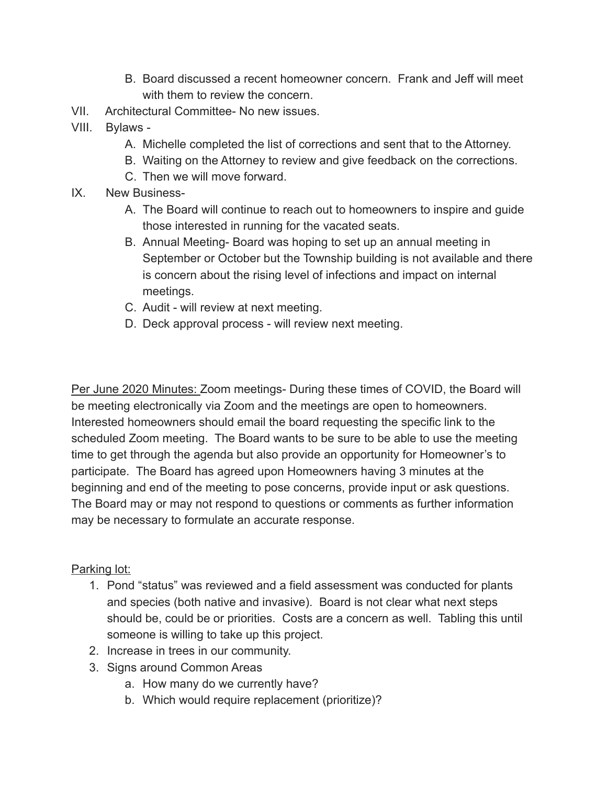- B. Board discussed a recent homeowner concern. Frank and Jeff will meet with them to review the concern
- VII. Architectural Committee- No new issues.
- VIII. Bylaws
	- A. Michelle completed the list of corrections and sent that to the Attorney.
	- B. Waiting on the Attorney to review and give feedback on the corrections.
	- C. Then we will move forward.
- IX. New Business-
	- A. The Board will continue to reach out to homeowners to inspire and guide those interested in running for the vacated seats.
	- B. Annual Meeting- Board was hoping to set up an annual meeting in September or October but the Township building is not available and there is concern about the rising level of infections and impact on internal meetings.
	- C. Audit will review at next meeting.
	- D. Deck approval process will review next meeting.

Per June 2020 Minutes: Zoom meetings- During these times of COVID, the Board will be meeting electronically via Zoom and the meetings are open to homeowners. Interested homeowners should email the board requesting the specific link to the scheduled Zoom meeting. The Board wants to be sure to be able to use the meeting time to get through the agenda but also provide an opportunity for Homeowner's to participate. The Board has agreed upon Homeowners having 3 minutes at the beginning and end of the meeting to pose concerns, provide input or ask questions. The Board may or may not respond to questions or comments as further information may be necessary to formulate an accurate response.

### Parking lot:

- 1. Pond "status" was reviewed and a field assessment was conducted for plants and species (both native and invasive). Board is not clear what next steps should be, could be or priorities. Costs are a concern as well. Tabling this until someone is willing to take up this project.
- 2. Increase in trees in our community.
- 3. Signs around Common Areas
	- a. How many do we currently have?
	- b. Which would require replacement (prioritize)?